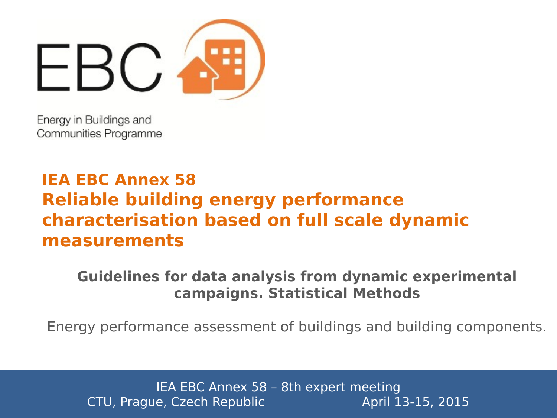

Energy in Buildings and Communities Programme

# **IEA EBC Annex 58 Reliable building energy performance characterisation based on full scale dynamic measurements**

#### **Guidelines for data analysis from dynamic experimental campaigns. Statistical Methods**

Energy performance assessment of buildings and building components.

IEA EBC Annex 58 – 8th expert meeting CTU, Prague, Czech Republic **April 13-15, 2015**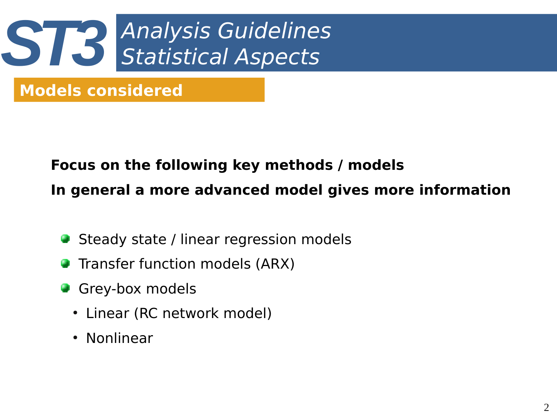

# **Models considered**

# **Focus on the following key methods / models In general a more advanced model gives more information**

- Steady state / linear regression models
- Transfer function models (ARX)
- **Grey-box models** 
	- Linear (RC network model)
	- Nonlinear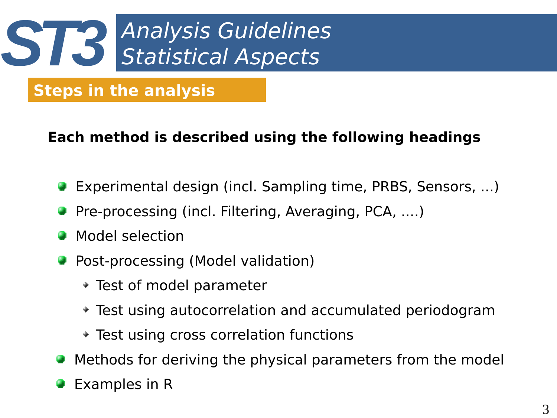

# **Steps in the analysis**

#### **Each method is described using the following headings**

- Experimental design (incl. Sampling time, PRBS, Sensors, ...)
- Pre-processing (incl. Filtering, Averaging, PCA, ....)
- Model selection 癵
- Post-processing (Model validation)
	- Test of model parameter
	- Test using autocorrelation and accumulated periodogram
	- Test using cross correlation functions
- Methods for deriving the physical parameters from the model 脚
- Examples in R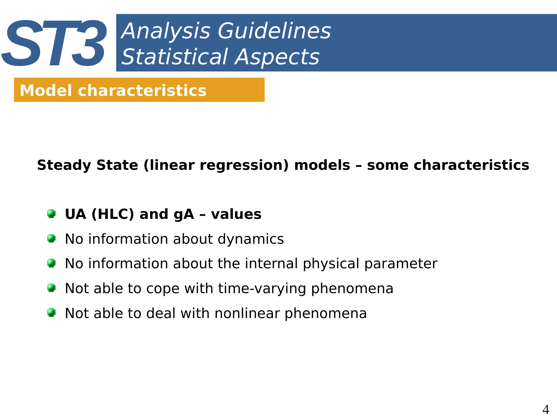

#### **Steady State (linear regression) models – some characteristics**

#### **UA (HLC) and gA – values**

- No information about dynamics
- No information about the internal physical parameter
- Not able to cope with time-varying phenomena
- Not able to deal with nonlinear phenomena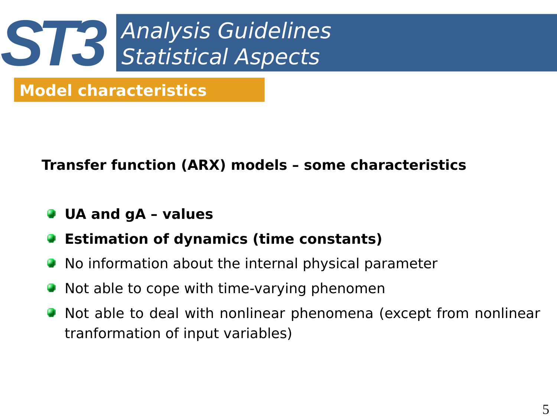

#### **Transfer function (ARX) models – some characteristics**

- **UA and gA values**
- **Estimation of dynamics (time constants)**
- No information about the internal physical parameter
- Not able to cope with time-varying phenomen
- Not able to deal with nonlinear phenomena (except from nonlinear tranformation of input variables)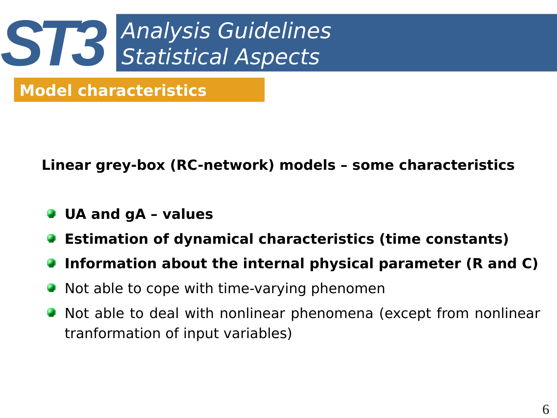

**Linear grey-box (RC-network) models – some characteristics**

- **UA and gA values**
- **Estimation of dynamical characteristics (time constants)**
- **Information about the internal physical parameter (R and C)**
- Not able to cope with time-varying phenomen
- Not able to deal with nonlinear phenomena (except from nonlinear tranformation of input variables)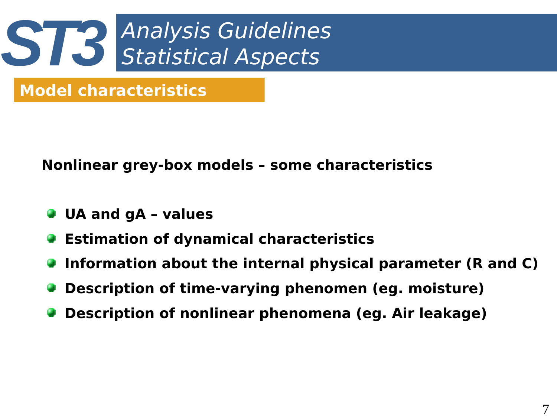

**Nonlinear grey-box models – some characteristics**

- **UA and gA values**
- **Estimation of dynamical characteristics**
- **Information about the internal physical parameter (R and C)**
- **Description of time-varying phenomen (eg. moisture)**
- **Description of nonlinear phenomena (eg. Air leakage)**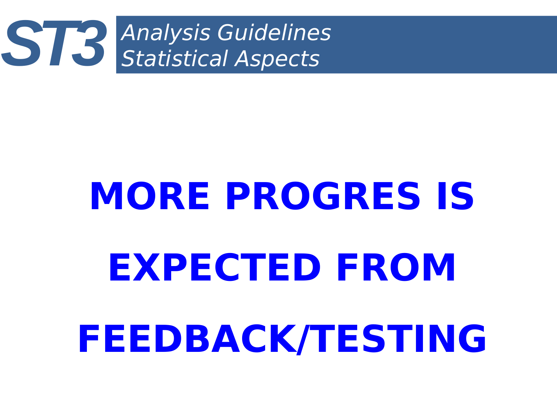

# **MORE PROGRES IS EXPECTED FROM FEEDBACK/TESTING**